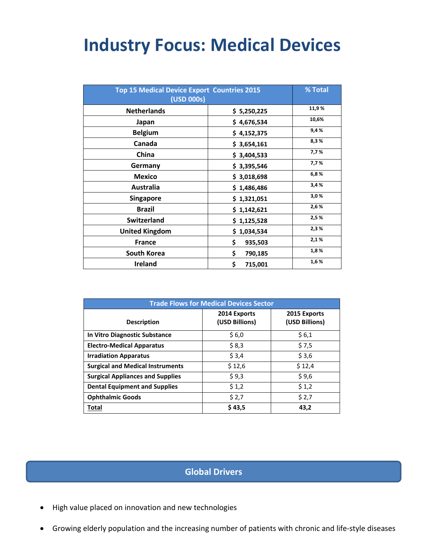# **Industry Focus: Medical Devices**

| <b>Top 15 Medical Device Export Countries 2015</b><br>(USD 000s) |               | % Total |
|------------------------------------------------------------------|---------------|---------|
| <b>Netherlands</b>                                               | \$5,250,225   | 11,9%   |
| Japan                                                            | \$4,676,534   | 10,6%   |
| <b>Belgium</b>                                                   | \$4,152,375   | 9,4%    |
| Canada                                                           | \$3,654,161   | 8,3%    |
| China                                                            | \$3,404,533   | 7,7%    |
| Germany                                                          | \$3,395,546   | 7,7%    |
| <b>Mexico</b>                                                    | \$3,018,698   | 6,8%    |
| Australia                                                        | \$1,486,486   | 3,4%    |
| <b>Singapore</b>                                                 | \$1,321,051   | 3,0%    |
| <b>Brazil</b>                                                    | \$1,142,621   | 2,6%    |
| <b>Switzerland</b>                                               | \$1,125,528   | 2,5%    |
| <b>United Kingdom</b>                                            | \$1,034,534   | 2,3%    |
| <b>France</b>                                                    | \$<br>935,503 | 2,1%    |
| South Korea                                                      | \$<br>790,185 | 1,8%    |
| <b>Ireland</b>                                                   | \$<br>715,001 | 1,6%    |

| <b>Trade Flows for Medical Devices Sector</b> |                                |                                |  |  |
|-----------------------------------------------|--------------------------------|--------------------------------|--|--|
| <b>Description</b>                            | 2014 Exports<br>(USD Billions) | 2015 Exports<br>(USD Billions) |  |  |
| In Vitro Diagnostic Substance                 | \$6,0                          | \$6,1                          |  |  |
| <b>Electro-Medical Apparatus</b>              | \$8,3                          | \$7,5                          |  |  |
| <b>Irradiation Apparatus</b>                  | \$3,4                          | \$3,6                          |  |  |
| <b>Surgical and Medical Instruments</b>       | \$12,6                         | \$12,4                         |  |  |
| <b>Surgical Appliances and Supplies</b>       | \$9,3                          | \$9,6                          |  |  |
| <b>Dental Equipment and Supplies</b>          | \$1,2                          | \$1,2                          |  |  |
| <b>Ophthalmic Goods</b>                       | \$2,7                          | \$2,7                          |  |  |
| Total                                         | \$43,5                         | 43,2                           |  |  |

# **Global Drivers**

- High value placed on innovation and new technologies
- Growing elderly population and the increasing number of patients with chronic and life-style diseases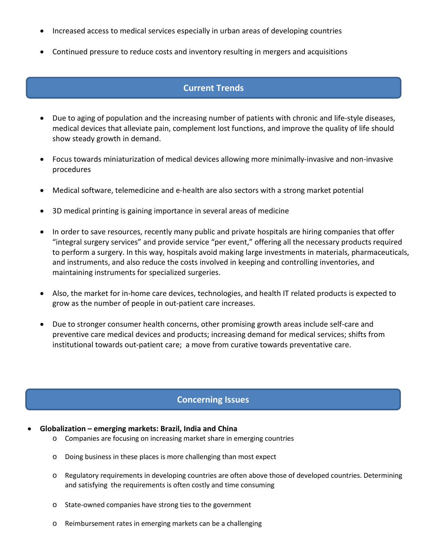- Increased access to medical services especially in urban areas of developing countries
- Continued pressure to reduce costs and inventory resulting in mergers and acquisitions

## **Current Trends**

- Due to aging of population and the increasing number of patients with chronic and life-style diseases, medical devices that alleviate pain, complement lost functions, and improve the quality of life should show steady growth in demand.
- Focus towards miniaturization of medical devices allowing more minimally-invasive and non-invasive procedures
- Medical software, telemedicine and e-health are also sectors with a strong market potential
- 3D medical printing is gaining importance in several areas of medicine
- In order to save resources, recently many public and private hospitals are hiring companies that offer "integral surgery services" and provide service "per event," offering all the necessary products required to perform a surgery. In this way, hospitals avoid making large investments in materials, pharmaceuticals, and instruments, and also reduce the costs involved in keeping and controlling inventories, and maintaining instruments for specialized surgeries.
- Also, the market for in-home care devices, technologies, and health IT related products is expected to grow as the number of people in out-patient care increases.
- Due to stronger consumer health concerns, other promising growth areas include self-care and preventive care medical devices and products; increasing demand for medical services; shifts from institutional towards out-patient care; a move from curative towards preventative care.

## **Concerning Issues**

- **Globalization – emerging markets: Brazil, India and China** 
	- o Companies are focusing on increasing market share in emerging countries
	- o Doing business in these places is more challenging than most expect
	- o Regulatory requirements in developing countries are often above those of developed countries. Determining and satisfying the requirements is often costly and time consuming
	- o State-owned companies have strong ties to the government
	- o Reimbursement rates in emerging markets can be a challenging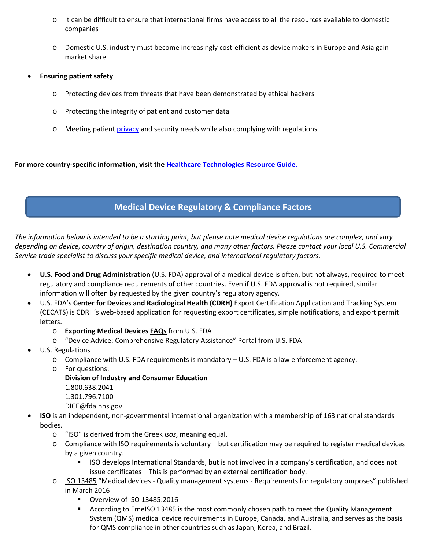- o It can be difficult to ensure that international firms have access to all the resources available to domestic companies
- o Domestic U.S. industry must become increasingly cost-efficient as device makers in Europe and Asia gain market share
- **Ensuring patient safety**
	- o Protecting devices from threats that have been demonstrated by ethical hackers
	- o Protecting the integrity of patient and customer data
	- o Meeting patient [privacy](http://www.healthcareinfosecurity.com/privacy-c-151) and security needs while also complying with regulations

**For more country-specific information, visit the [Healthcare Technologies Resource Guide.](http://2016.export.gov/industry/health/healthcareresourceguide/eg_main_083726.asp)**

## **Medical Device Regulatory & Compliance Factors**

*The information below is intended to be a starting point, but please note medical device regulations are complex, and vary depending on device, country of origin, destination country, and many other factors. Please contact your local U.S. Commercial Service trade specialist to discuss your specific medical device, and international regulatory factors.*

- **U.S. Food and Drug Administration** (U.S. FDA) approval of a medical device is often, but not always, required to meet regulatory and compliance requirements of other countries. Even if U.S. FDA approval is not required, similar information will often by requested by the given country's regulatory agency.
- U.S. FDA's **Center for Devices and Radiological Health (CDRH)** Export Certification Application and Tracking System (CECATS) is CDRH's web-based application for requesting export certificates, simple notifications, and export permit letters.
	- o **Exporting Medical Devices [FAQs](https://www.fda.gov/MedicalDevices/DeviceRegulationandGuidance/ImportingandExportingDevices/ExportingMedicalDevices/ucm346620.htm)** from U.S. FDA
	- o "Device Advice: Comprehensive Regulatory Assistance" [Portal](https://www.fda.gov/MedicalDevices/DeviceRegulationandGuidance/default.htm) from U.S. FDA
- U.S. Regulations
	- o Compliance with U.S. FDA requirements is mandatory U.S. FDA is a [law enforcement agency.](https://www.fda.gov/ICECI/)
	- o For questions:
		- **Division of Industry and Consumer Education** 1.800.638.2041 1.301.796.7100 [DICE@fda.hhs.gov](mailto:DICE@fda.hhs.gov)
- **ISO** is an independent, non-governmental international organization with a membership of 163 national standards bodies.
	- o "ISO" is derived from the Greek *isos*, meaning equal.
	- o Compliance with ISO requirements is voluntary but certification may be required to register medical devices by a given country.
		- ISO develops International Standards, but is not involved in a company's certification, and does not issue certificates – This is performed by an external certification body.
	- o [ISO 13485](https://www.iso.org/standard/59752.html) "Medical devices Quality management systems Requirements for regulatory purposes" published in March 2016
		- [Overview](https://www.iso.org/files/live/sites/isoorg/files/archive/pdf/en/iso_13485_medical_devices_2016.pdf) of ISO 13485:2016
		- According to EmeISO 13485 is the most commonly chosen path to meet the Quality Management System (QMS) medical device requirements in Europe, Canada, and Australia, and serves as the basis for QMS compliance in other countries such as Japan, Korea, and Brazil.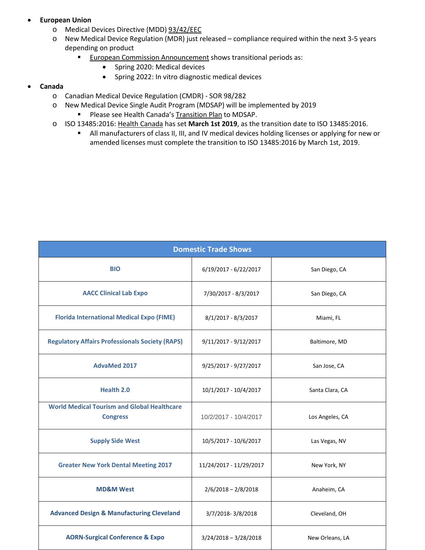### • **European Union**

- o Medical Devices Directive (MDD) [93/42/EEC](http://ec.europa.eu/growth/single-market/european-standards/harmonised-standards/medical-devices/)
- o New Medical Device Regulation (MDR) just released compliance required within the next 3-5 years depending on product
	- **[European Commission Announcement](http://ec.europa.eu/growth/sectors/medical-devices/regulatory-framework/revision_en) shows transitional periods as:** 
		- Spring 2020: Medical devices
		- Spring 2022: In vitro diagnostic medical devices

#### • **Canada**

- o Canadian Medical Device Regulation (CMDR) SOR 98/282
- o New Medical Device Single Audit Program (MDSAP) will be implemented by 2019
	- Please see Health Canada'[s Transition Plan](http://www.hc-sc.gc.ca/dhp-mps/md-im/activit/int/mdsap-trans-notice-avis-eng.php) to MDSAP.
- o ISO 13485:2016[: Health Canada](http://www.hc-sc.gc.ca/dhp-mps/md-im/qualsys/iso13485-trans-notice-avis-eng.php) has set **March 1st 2019**, as the transition date to ISO 13485:2016.
	- All manufacturers of class II, III, and IV medical devices holding licenses or applying for new or amended licenses must complete the transition to ISO 13485:2016 by March 1st, 2019.

| <b>Domestic Trade Shows</b>                                           |                         |                 |  |  |
|-----------------------------------------------------------------------|-------------------------|-----------------|--|--|
| <b>BIO</b>                                                            | $6/19/2017 - 6/22/2017$ | San Diego, CA   |  |  |
| <b>AACC Clinical Lab Expo</b>                                         | 7/30/2017 - 8/3/2017    | San Diego, CA   |  |  |
| <b>Florida International Medical Expo (FIME)</b>                      | $8/1/2017 - 8/3/2017$   | Miami, FL       |  |  |
| <b>Regulatory Affairs Professionals Society (RAPS)</b>                | $9/11/2017 - 9/12/2017$ | Baltimore, MD   |  |  |
| <b>AdvaMed 2017</b>                                                   | 9/25/2017 - 9/27/2017   | San Jose, CA    |  |  |
| <b>Health 2.0</b>                                                     | 10/1/2017 - 10/4/2017   | Santa Clara, CA |  |  |
| <b>World Medical Tourism and Global Healthcare</b><br><b>Congress</b> | 10/2/2017 - 10/4/2017   | Los Angeles, CA |  |  |
| <b>Supply Side West</b>                                               | 10/5/2017 - 10/6/2017   | Las Vegas, NV   |  |  |
| <b>Greater New York Dental Meeting 2017</b>                           | 11/24/2017 - 11/29/2017 | New York, NY    |  |  |
| <b>MD&amp;M West</b>                                                  | $2/6/2018 - 2/8/2018$   | Anaheim, CA     |  |  |
| <b>Advanced Design &amp; Manufacturing Cleveland</b>                  | 3/7/2018-3/8/2018       | Cleveland, OH   |  |  |
| <b>AORN-Surgical Conference &amp; Expo</b>                            | $3/24/2018 - 3/28/2018$ | New Orleans, LA |  |  |